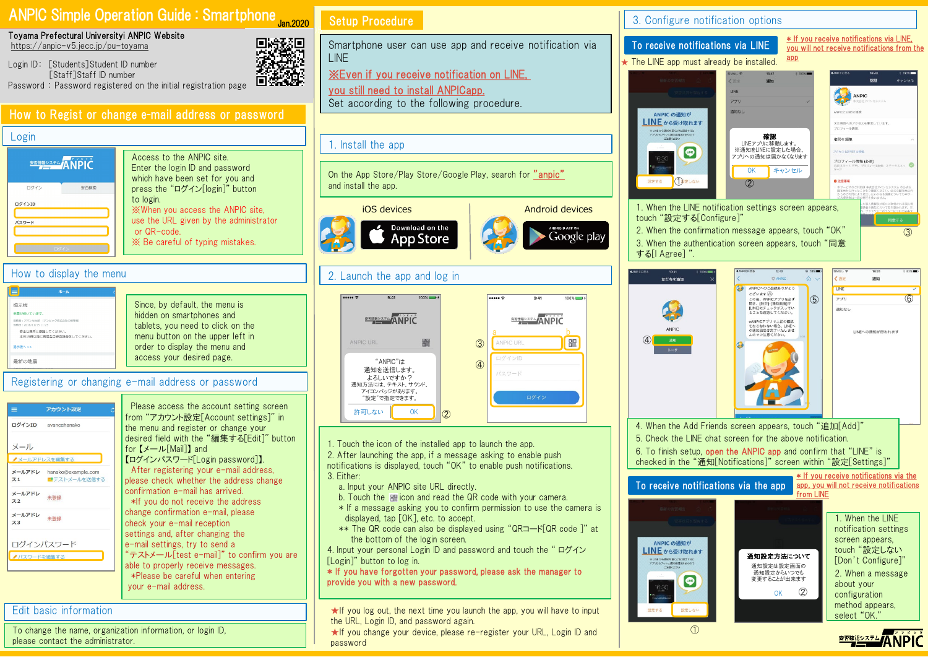# ANPIC Simple Operation Guide : Smartphone Jan.2020



Login ID: [Students]Student ID number [Staff]Staff ID number Password : Password registered on the initial registration page

# How to Regist or change e-mail address or password

#### Login

| <b>REMARY ANDIC</b> |      |
|---------------------|------|
| ログイン                | 安否検索 |
| ログインID<br>パスワード     |      |
| ログイン                |      |

Access to the ANPIC site. Enter the login ID and password which have been set for you and press the "ログイン[login]" button to login. ※When you access the ANPIC site, use the URL given by the administrator or QR-code. ※ Be careful of typing mistakes.

### How to display the menu

| ホーム                                                                                                                                |                                                                                                                                                                       |
|------------------------------------------------------------------------------------------------------------------------------------|-----------------------------------------------------------------------------------------------------------------------------------------------------------------------|
| 揭示板<br>余需が持いています。<br>投稿者:アバンセ太郎 (アンビック株式会社の管理者)<br>接销目: 2018/11/15 11:25<br>安全な場所に避難してください。<br>本日15時以降に再度各自安否報告をしてください。<br>提示板へ >> | Since, by default, the menu is<br>hidden on smartphones and<br>tablets, you need to click on the<br>menu button on the upper left in<br>order to display the menu and |
| 最新の地震                                                                                                                              | access your desired page.                                                                                                                                             |

Registering or changing e-mail address or password

| $\equiv$<br>アカウント設定             | Please access the account setting screen                                                                                        |
|---------------------------------|---------------------------------------------------------------------------------------------------------------------------------|
| ログインID<br>avancehanako          | from "アカウント設定「Account settings]" in<br>the menu and register or change your                                                     |
| メール<br>▲メールアドレスを編集する            | desired field with the "編集する[Edit]" button<br>for $\mathbf{X} \rightarrow \mathbf{U}$ Mail 1 and<br>【ログインパスワード[Login password]】 |
| メールアドレ<br>hanako@example.com    | After registering your e-mail address,                                                                                          |
| 書テストメールを送信する<br>71              | please check whether the address change                                                                                         |
| メールアドレ<br>Z <sub>2</sub>        | confirmation e-mail has arrived.<br>*If you do not receive the address                                                          |
| メールアドレ<br>未登録<br>Z <sub>3</sub> | change confirmation e-mail, please<br>check your e-mail reception                                                               |
| ログインパスワード                       | settings and, after changing the<br>e-mail settings, try to send a                                                              |
| ノパスワードを編集する                     | "テストメール[test_e-mail]" to confirm you are                                                                                        |
|                                 | able to properly receive messages.                                                                                              |
|                                 | *Please be careful when entering                                                                                                |
|                                 | vour e-mail address                                                                                                             |

### Edit basic information

To change the name, organization information, or login ID, please contact the administrator.

# Setup Procedure

2019

Smartphone user can use app and receive notification via LINE

※Even if you receive notification on LINE,

you still need to install ANPICapp. Set according to the following procedure.

#### 1. Install the app

On the App Store/Play Store/Google Play, search for "anpic" and install the app.



# 2. Launch the app and log in



1. Touch the icon of the installed app to launch the app.

2. After launching the app, if a message asking to enable push notifications is displayed, touch "OK" to enable push notifications.

- 3. Either:
	- a. Input your ANPIC site URL directly.
	- b. Touch the **ight** icon and read the QR code with your camera.
	- \* If a message asking you to confirm permission to use the camera is displayed, tap [OK], etc. to accept.
- \*\* The QR code can also be displayed using "QRコード[QR code ]" at the bottom of the login screen.

4. Input your personal Login ID and password and touch the " ログイン [Login]" button to log in.

\* If you have forgotten your password, please ask the manager to provide you with a new password.

★If you log out, the next time you launch the app, you will have to input the URL, Login ID, and password again.

★If you change your device, please re-register your URL, Login ID and password

3. Configure notification options

16:30

設定する

Google plav